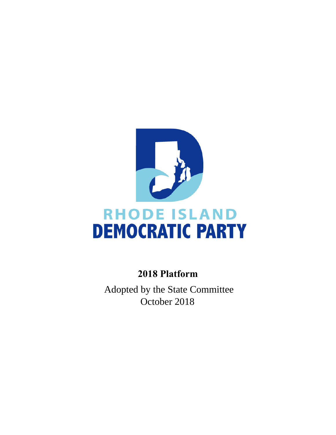

# **RHODE ISLAND DEMOCRATIC PARTY**

# **2018 Platform**

**Adopted by the Platform Committee September 16, 2018** Adopted by the State Committee October 2018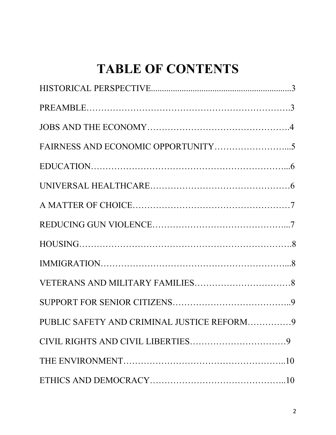# **TABLE OF CONTENTS**

| PUBLIC SAFETY AND CRIMINAL JUSTICE REFORM9 |  |
|--------------------------------------------|--|
|                                            |  |
|                                            |  |
|                                            |  |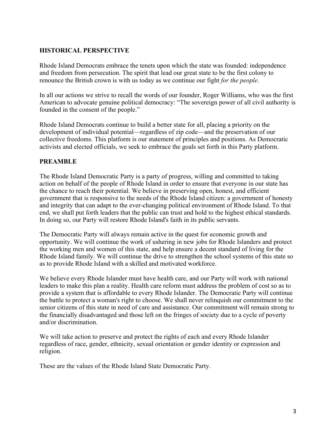# **HISTORICAL PERSPECTIVE**

Rhode Island Democrats embrace the tenets upon which the state was founded: independence and freedom from persecution. The spirit that lead our great state to be the first colony to renounce the British crown is with us today as we continue our fight *for the people*.

In all our actions we strive to recall the words of our founder, Roger Williams, who was the first American to advocate genuine political democracy: "The sovereign power of all civil authority is founded in the consent of the people."

Rhode Island Democrats continue to build a better state for all, placing a priority on the development of individual potential—regardless of zip code—and the preservation of our collective freedoms. This platform is our statement of principles and positions. As Democratic activists and elected officials, we seek to embrace the goals set forth in this Party platform.

#### **PREAMBLE**

The Rhode Island Democratic Party is a party of progress, willing and committed to taking action on behalf of the people of Rhode Island in order to ensure that everyone in our state has the chance to reach their potential. We believe in preserving open, honest, and efficient government that is responsive to the needs of the Rhode Island citizen: a government of honesty and integrity that can adapt to the ever-changing political environment of Rhode Island. To that end, we shall put forth leaders that the public can trust and hold to the highest ethical standards. In doing so, our Party will restore Rhode Island's faith in its public servants.

The Democratic Party will always remain active in the quest for economic growth and opportunity. We will continue the work of ushering in new jobs for Rhode Islanders and protect the working men and women of this state, and help ensure a decent standard of living for the Rhode Island family. We will continue the drive to strengthen the school systems of this state so as to provide Rhode Island with a skilled and motivated workforce.

We believe every Rhode Islander must have health care, and our Party will work with national leaders to make this plan a reality. Health care reform must address the problem of cost so as to provide a system that is affordable to every Rhode Islander. The Democratic Party will continue the battle to protect a woman's right to choose. We shall never relinquish our commitment to the senior citizens of this state in need of care and assistance. Our commitment will remain strong to the financially disadvantaged and those left on the fringes of society due to a cycle of poverty and/or discrimination.

We will take action to preserve and protect the rights of each and every Rhode Islander regardless of race, gender, ethnicity, sexual orientation or gender identity or expression and religion.

These are the values of the Rhode Island State Democratic Party.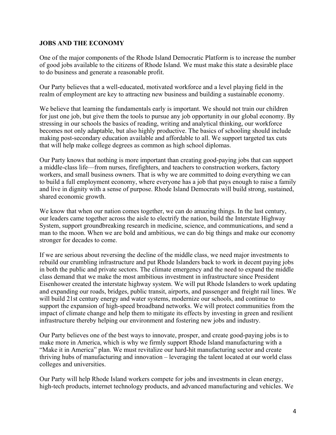#### **JOBS AND THE ECONOMY**

One of the major components of the Rhode Island Democratic Platform is to increase the number of good jobs available to the citizens of Rhode Island. We must make this state a desirable place to do business and generate a reasonable profit.

Our Party believes that a well-educated, motivated workforce and a level playing field in the realm of employment are key to attracting new business and building a sustainable economy.

We believe that learning the fundamentals early is important. We should not train our children for just one job, but give them the tools to pursue any job opportunity in our global economy. By stressing in our schools the basics of reading, writing and analytical thinking, our workforce becomes not only adaptable, but also highly productive. The basics of schooling should include making post-secondary education available and affordable to all. We support targeted tax cuts that will help make college degrees as common as high school diplomas.

Our Party knows that nothing is more important than creating good-paying jobs that can support a middle-class life—from nurses, firefighters, and teachers to construction workers, factory workers, and small business owners. That is why we are committed to doing everything we can to build a full employment economy, where everyone has a job that pays enough to raise a family and live in dignity with a sense of purpose. Rhode Island Democrats will build strong, sustained, shared economic growth.

We know that when our nation comes together, we can do amazing things. In the last century, our leaders came together across the aisle to electrify the nation, build the Interstate Highway System, support groundbreaking research in medicine, science, and communications, and send a man to the moon. When we are bold and ambitious, we can do big things and make our economy stronger for decades to come.

If we are serious about reversing the decline of the middle class, we need major investments to rebuild our crumbling infrastructure and put Rhode Islanders back to work in decent paying jobs in both the public and private sectors. The climate emergency and the need to expand the middle class demand that we make the most ambitious investment in infrastructure since President Eisenhower created the interstate highway system. We will put Rhode Islanders to work updating and expanding our roads, bridges, public transit, airports, and passenger and freight rail lines. We will build 21st century energy and water systems, modernize our schools, and continue to support the expansion of high-speed broadband networks. We will protect communities from the impact of climate change and help them to mitigate its effects by investing in green and resilient infrastructure thereby helping our environment and fostering new jobs and industry.

Our Party believes one of the best ways to innovate, prosper, and create good-paying jobs is to make more in America, which is why we firmly support Rhode Island manufacturing with a "Make it in America" plan. We must revitalize our hard-hit manufacturing sector and create thriving hubs of manufacturing and innovation – leveraging the talent located at our world class colleges and universities.

Our Party will help Rhode Island workers compete for jobs and investments in clean energy, high-tech products, internet technology products, and advanced manufacturing and vehicles. We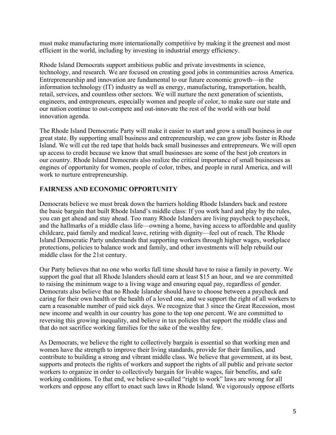must make manufacturing more internationally competitive by making it the greenest and most efficient in the world, including by investing in industrial energy efficiency.

Rhode Island Democrats support ambitious public and private investments in science, technology, and research. We are focused on creating good jobs in communities across America. Entrepreneurship and innovation are fundamental to our future economic growth—in the information technology (IT) industry as well as energy, manufacturing, transportation, health, retail, services, and countless other sectors. We will nurture the next generation of scientists, engineers, and entrepreneurs, especially women and people of color, to make sure our state and our nation continue to out-compete and out-innovate the rest of the world with our bold innovation agenda.

The Rhode Island Democratic Party will make it easier to start and grow a small business in our great state. By supporting small business and entrepreneurship, we can grow jobs faster in Rhode Island. We will cut the red tape that holds back small businesses and entrepreneurs. We will open up access to credit because we know that small businesses are some of the best job creators in our country. Rhode Island Democrats also realize the critical importance of small businesses as engines of opportunity for women, people of color, tribes, and people in rural America, and will work to nurture entrepreneurship.

# **FAIRNESS AND ECONOMIC OPPORTUNITY**

Democrats believe we must break down the barriers holding Rhode Islanders back and restore the basic bargain that built Rhode Island's middle class: If you work hard and play by the rules, you can get ahead and stay ahead. Too many Rhode Islanders are living paycheck to paycheck, and the hallmarks of a middle class life—owning a home, having access to affordable and quality childcare, paid family and medical leave, retiring with dignity—feel out of reach. The Rhode Island Democratic Party understands that supporting workers through higher wages, workplace protections, policies to balance work and family, and other investments will help rebuild our middle class for the 21st century.

Our Party believes that no one who works full time should have to raise a family in poverty. We support the goal that all Rhode Islanders should earn at least \$15 an hour, and we are committed to raising the minimum wage to a living wage and ensuring equal pay, regardless of gender. Democrats also believe that no Rhode Islander should have to choose between a paycheck and caring for their own health or the health of a loved one, and we support the right of all workers to earn a reasonable number of paid sick days. We recognize that 3 since the Great Recession, most new income and wealth in our country has gone to the top one percent. We are committed to reversing this growing inequality, and believe in tax policies that support the middle class and that do not sacrifice working families for the sake of the wealthy few.

As Democrats, we believe the right to collectively bargain is essential so that working men and women have the strength to improve their living standards, provide for their families, and contribute to building a strong and vibrant middle class. We believe that government, at its best, supports and protects the rights of workers and support the rights of all public and private sector workers to organize in order to collectively bargain for livable wages, fair benefits, and safe working conditions. To that end, we believe so-called "right to work" laws are wrong for all workers and oppose any effort to enact such laws in Rhode Island. We vigorously oppose efforts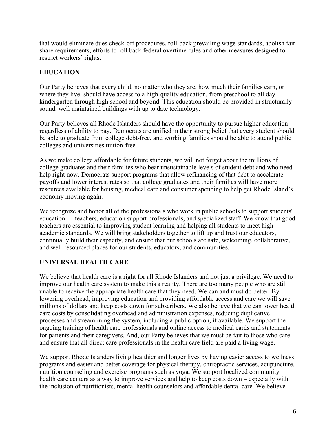that would eliminate dues check-off procedures, roll-back prevailing wage standards, abolish fair share requirements, efforts to roll back federal overtime rules and other measures designed to restrict workers' rights.

# **EDUCATION**

Our Party believes that every child, no matter who they are, how much their families earn, or where they live, should have access to a high-quality education, from preschool to all day kindergarten through high school and beyond. This education should be provided in structurally sound, well maintained buildings with up to date technology.

Our Party believes all Rhode Islanders should have the opportunity to pursue higher education regardless of ability to pay. Democrats are unified in their strong belief that every student should be able to graduate from college debt-free, and working families should be able to attend public colleges and universities tuition-free.

As we make college affordable for future students, we will not forget about the millions of college graduates and their families who bear unsustainable levels of student debt and who need help right now. Democrats support programs that allow refinancing of that debt to accelerate payoffs and lower interest rates so that college graduates and their families will have more resources available for housing, medical care and consumer spending to help get Rhode Island's economy moving again.

We recognize and honor all of the professionals who work in public schools to support students' education — teachers, education support professionals, and specialized staff. We know that good teachers are essential to improving student learning and helping all students to meet high academic standards. We will bring stakeholders together to lift up and trust our educators, continually build their capacity, and ensure that our schools are safe, welcoming, collaborative, and well-resourced places for our students, educators, and communities.

# **UNIVERSAL HEALTH CARE**

We believe that health care is a right for all Rhode Islanders and not just a privilege. We need to improve our health care system to make this a reality. There are too many people who are still unable to receive the appropriate health care that they need. We can and must do better. By lowering overhead, improving education and providing affordable access and care we will save millions of dollars and keep costs down for subscribers. We also believe that we can lower health care costs by consolidating overhead and administration expenses, reducing duplicative processes and streamlining the system, including a public option, if available. We support the ongoing training of health care professionals and online access to medical cards and statements for patients and their caregivers. And, our Party believes that we must be fair to those who care and ensure that all direct care professionals in the health care field are paid a living wage.

We support Rhode Islanders living healthier and longer lives by having easier access to wellness programs and easier and better coverage for physical therapy, chiropractic services, acupuncture, nutrition counseling and exercise programs such as yoga. We support localized community health care centers as a way to improve services and help to keep costs down – especially with the inclusion of nutritionists, mental health counselors and affordable dental care. We believe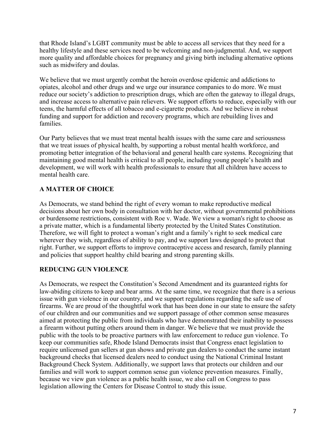that Rhode Island's LGBT community must be able to access all services that they need for a healthy lifestyle and these services need to be welcoming and non-judgmental. And, we support more quality and affordable choices for pregnancy and giving birth including alternative options such as midwifery and doulas.

We believe that we must urgently combat the heroin overdose epidemic and addictions to opiates, alcohol and other drugs and we urge our insurance companies to do more. We must reduce our society's addiction to prescription drugs, which are often the gateway to illegal drugs, and increase access to alternative pain relievers. We support efforts to reduce, especially with our teens, the harmful effects of all tobacco and e-cigarette products. And we believe in robust funding and support for addiction and recovery programs, which are rebuilding lives and families.

Our Party believes that we must treat mental health issues with the same care and seriousness that we treat issues of physical health, by supporting a robust mental health workforce, and promoting better integration of the behavioral and general health care systems. Recognizing that maintaining good mental health is critical to all people, including young people's health and development, we will work with health professionals to ensure that all children have access to mental health care.

# **A MATTER OF CHOICE**

As Democrats, we stand behind the right of every woman to make reproductive medical decisions about her own body in consultation with her doctor, without governmental prohibitions or burdensome restrictions, consistent with Roe v. Wade. We view a woman's right to choose as a private matter, which is a fundamental liberty protected by the United States Constitution. Therefore, we will fight to protect a woman's right and a family's right to seek medical care wherever they wish, regardless of ability to pay, and we support laws designed to protect that right. Further, we support efforts to improve contraceptive access and research, family planning and policies that support healthy child bearing and strong parenting skills.

# **REDUCING GUN VIOLENCE**

As Democrats, we respect the Constitution's Second Amendment and its guaranteed rights for law-abiding citizens to keep and bear arms. At the same time, we recognize that there is a serious issue with gun violence in our country, and we support regulations regarding the safe use of firearms. We are proud of the thoughtful work that has been done in our state to ensure the safety of our children and our communities and we support passage of other common sense measures aimed at protecting the public from individuals who have demonstrated their inability to possess a firearm without putting others around them in danger. We believe that we must provide the public with the tools to be proactive partners with law enforcement to reduce gun violence. To keep our communities safe, Rhode Island Democrats insist that Congress enact legislation to require unlicensed gun sellers at gun shows and private gun dealers to conduct the same instant background checks that licensed dealers need to conduct using the National Criminal Instant Background Check System. Additionally, we support laws that protects our children and our families and will work to support common sense gun violence prevention measures. Finally, because we view gun violence as a public health issue, we also call on Congress to pass legislation allowing the Centers for Disease Control to study this issue.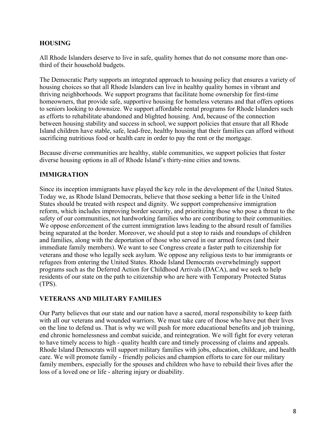# **HOUSING**

All Rhode Islanders deserve to live in safe, quality homes that do not consume more than onethird of their household budgets.

The Democratic Party supports an integrated approach to housing policy that ensures a variety of housing choices so that all Rhode Islanders can live in healthy quality homes in vibrant and thriving neighborhoods. We support programs that facilitate home ownership for first-time homeowners, that provide safe, supportive housing for homeless veterans and that offers options to seniors looking to downsize. We support affordable rental programs for Rhode Islanders such as efforts to rehabilitate abandoned and blighted housing. And, because of the connection between housing stability and success in school, we support policies that ensure that all Rhode Island children have stable, safe, lead-free, healthy housing that their families can afford without sacrificing nutritious food or health care in order to pay the rent or the mortgage.

Because diverse communities are healthy, stable communities, we support policies that foster diverse housing options in all of Rhode Island's thirty-nine cities and towns.

# **IMMIGRATION**

Since its inception immigrants have played the key role in the development of the United States. Today we, as Rhode Island Democrats, believe that those seeking a better life in the United States should be treated with respect and dignity. We support comprehensive immigration reform, which includes improving border security, and prioritizing those who pose a threat to the safety of our communities, not hardworking families who are contributing to their communities. We oppose enforcement of the current immigration laws leading to the absurd result of families being separated at the border. Moreover, we should put a stop to raids and roundups of children and families, along with the deportation of those who served in our armed forces (and their immediate family members). We want to see Congress create a faster path to citizenship for veterans and those who legally seek asylum. We oppose any religious tests to bar immigrants or refugees from entering the United States. Rhode Island Democrats overwhelmingly support programs such as the Deferred Action for Childhood Arrivals (DACA), and we seek to help residents of our state on the path to citizenship who are here with Temporary Protected Status (TPS).

# **VETERANS AND MILITARY FAMILIES**

Our Party believes that our state and our nation have a sacred, moral responsibility to keep faith with all our veterans and wounded warriors. We must take care of those who have put their lives on the line to defend us. That is why we will push for more educational benefits and job training, end chronic homelessness and combat suicide, and reintegration. We will fight for every veteran to have timely access to high - quality health care and timely processing of claims and appeals. Rhode Island Democrats will support military families with jobs, education, childcare, and health care. We will promote family - friendly policies and champion efforts to care for our military family members, especially for the spouses and children who have to rebuild their lives after the loss of a loved one or life - altering injury or disability.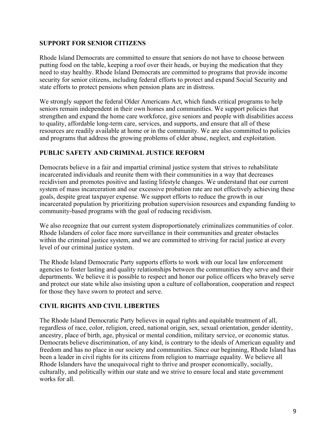#### **SUPPORT FOR SENIOR CITIZENS**

Rhode Island Democrats are committed to ensure that seniors do not have to choose between putting food on the table, keeping a roof over their heads, or buying the medication that they need to stay healthy. Rhode Island Democrats are committed to programs that provide income security for senior citizens, including federal efforts to protect and expand Social Security and state efforts to protect pensions when pension plans are in distress.

We strongly support the federal Older Americans Act, which funds critical programs to help seniors remain independent in their own homes and communities. We support policies that strengthen and expand the home care workforce, give seniors and people with disabilities access to quality, affordable long-term care, services, and supports, and ensure that all of these resources are readily available at home or in the community. We are also committed to policies and programs that address the growing problems of elder abuse, neglect, and exploitation.

# **PUBLIC SAFETY AND CRIMINAL JUSTICE REFORM**

Democrats believe in a fair and impartial criminal justice system that strives to rehabilitate incarcerated individuals and reunite them with their communities in a way that decreases recidivism and promotes positive and lasting lifestyle changes. We understand that our current system of mass incarceration and our excessive probation rate are not effectively achieving these goals, despite great taxpayer expense. We support efforts to reduce the growth in our incarcerated population by prioritizing probation supervision resources and expanding funding to community-based programs with the goal of reducing recidivism.

We also recognize that our current system disproportionately criminalizes communities of color. Rhode Islanders of color face more surveillance in their communities and greater obstacles within the criminal justice system, and we are committed to striving for racial justice at every level of our criminal justice system.

The Rhode Island Democratic Party supports efforts to work with our local law enforcement agencies to foster lasting and quality relationships between the communities they serve and their departments. We believe it is possible to respect and honor our police officers who bravely serve and protect our state while also insisting upon a culture of collaboration, cooperation and respect for those they have sworn to protect and serve.

# **CIVIL RIGHTS AND CIVIL LIBERTIES**

The Rhode Island Democratic Party believes in equal rights and equitable treatment of all, regardless of race, color, religion, creed, national origin, sex, sexual orientation, gender identity, ancestry, place of birth, age, physical or mental condition, military service, or economic status. Democrats believe discrimination, of any kind, is contrary to the ideals of American equality and freedom and has no place in our society and communities. Since our beginning, Rhode Island has been a leader in civil rights for its citizens from religion to marriage equality. We believe all Rhode Islanders have the unequivocal right to thrive and prosper economically, socially, culturally, and politically within our state and we strive to ensure local and state government works for all.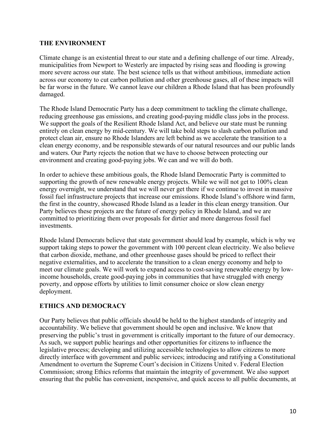#### **THE ENVIRONMENT**

Climate change is an existential threat to our state and a defining challenge of our time. Already, municipalities from Newport to Westerly are impacted by rising seas and flooding is growing more severe across our state. The best science tells us that without ambitious, immediate action across our economy to cut carbon pollution and other greenhouse gases, all of these impacts will be far worse in the future. We cannot leave our children a Rhode Island that has been profoundly damaged.

The Rhode Island Democratic Party has a deep commitment to tackling the climate challenge, reducing greenhouse gas emissions, and creating good-paying middle class jobs in the process. We support the goals of the Resilient Rhode Island Act, and believe our state must be running entirely on clean energy by mid-century. We will take bold steps to slash carbon pollution and protect clean air, ensure no Rhode Islanders are left behind as we accelerate the transition to a clean energy economy, and be responsible stewards of our natural resources and our public lands and waters. Our Party rejects the notion that we have to choose between protecting our environment and creating good-paying jobs. We can and we will do both.

In order to achieve these ambitious goals, the Rhode Island Democratic Party is committed to supporting the growth of new renewable energy projects. While we will not get to 100% clean energy overnight, we understand that we will never get there if we continue to invest in massive fossil fuel infrastructure projects that increase our emissions. Rhode Island's offshore wind farm, the first in the country, showcased Rhode Island as a leader in this clean energy transition. Our Party believes these projects are the future of energy policy in Rhode Island, and we are committed to prioritizing them over proposals for dirtier and more dangerous fossil fuel investments.

Rhode Island Democrats believe that state government should lead by example, which is why we support taking steps to power the government with 100 percent clean electricity. We also believe that carbon dioxide, methane, and other greenhouse gases should be priced to reflect their negative externalities, and to accelerate the transition to a clean energy economy and help to meet our climate goals. We will work to expand access to cost-saving renewable energy by lowincome households, create good-paying jobs in communities that have struggled with energy poverty, and oppose efforts by utilities to limit consumer choice or slow clean energy deployment.

# **ETHICS AND DEMOCRACY**

Our Party believes that public officials should be held to the highest standards of integrity and accountability. We believe that government should be open and inclusive. We know that preserving the public's trust in government is critically important to the future of our democracy. As such, we support public hearings and other opportunities for citizens to influence the legislative process; developing and utilizing accessible technologies to allow citizens to more directly interface with government and public services; introducing and ratifying a Constitutional Amendment to overturn the Supreme Court's decision in Citizens United v. Federal Election Commission; strong Ethics reforms that maintain the integrity of government. We also support ensuring that the public has convenient, inexpensive, and quick access to all public documents, at